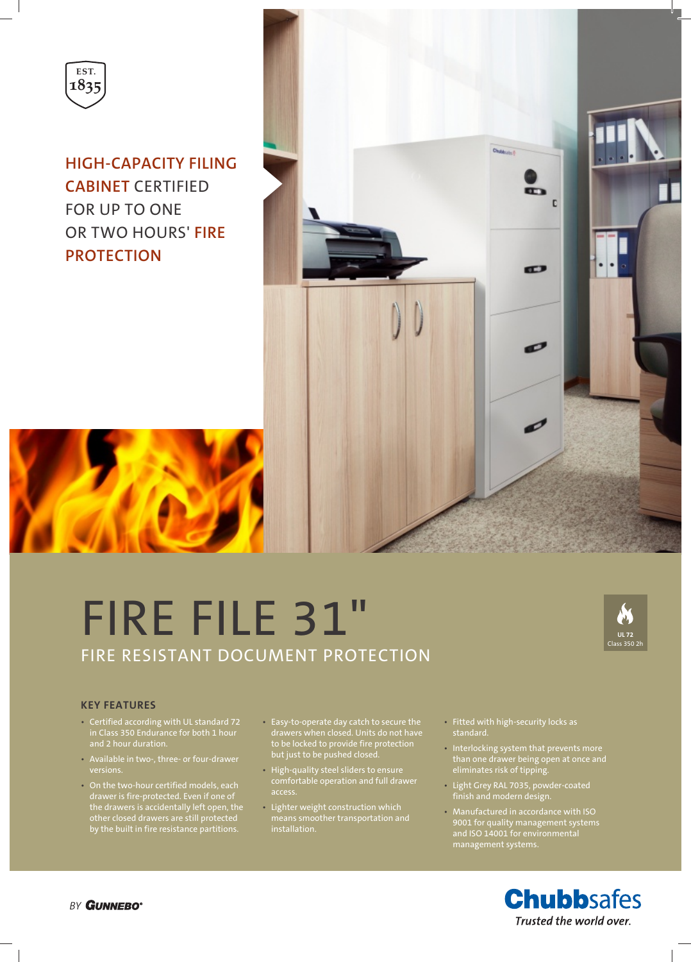

**HIGH-CAPACITY FILING CABINET** CERTIFIED FOR UP TO ONE OR TWO HOURS' **FIRE PROTECTION**



# FIRE FILE 31" FIRE RESISTANT DOCUMENT PROTECTION



#### **KEY FEATURES**

- Certified according with UL standard 72 in Class 350 Endurance for both 1 hour and 2 hour duration.
- Available in two-, three- or four-drawer
- On the two-hour certified models, each drawer is fire-protected. Even if one of the drawers is accidentally left open, the other closed drawers are still protected by the built in fire resistance partitions.
- Easy-to-operate day catch to secure the drawers when closed. Units do not have to be locked to provide fire protection but just to be pushed closed.
- High-quality steel sliders to ensure comfortable operation and full drawer access.
- Lighter weight construction which means smoother transportation and installation.
- Fitted with high-security locks as
- Interlocking system that prevents more than one drawer being open at once and eliminates risk of tipping.
- Light Grey RAL 7035, powder-coated finish and modern design.
- Manufactured in accordance with ISO 9001 for quality management systems management systems.